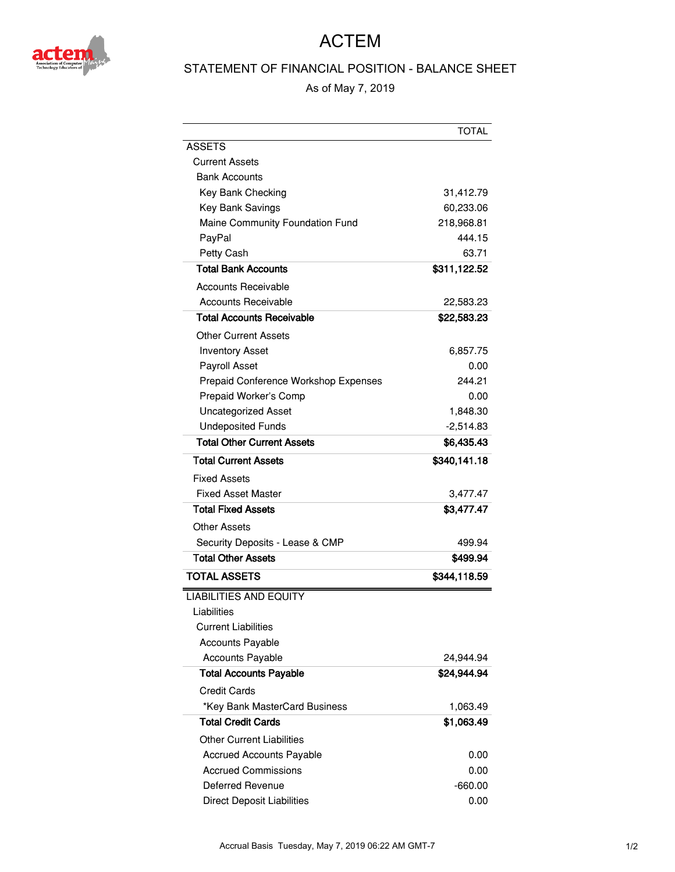

## ACTEM

## STATEMENT OF FINANCIAL POSITION - BALANCE SHEET

As of May 7, 2019

|                                      | TOTAL        |
|--------------------------------------|--------------|
| <b>ASSETS</b>                        |              |
| Current Assets                       |              |
| <b>Bank Accounts</b>                 |              |
| Key Bank Checking                    | 31,412.79    |
| <b>Key Bank Savings</b>              | 60,233.06    |
| Maine Community Foundation Fund      | 218,968.81   |
| PayPal                               | 444.15       |
| Petty Cash                           | 63.71        |
| <b>Total Bank Accounts</b>           | \$311,122.52 |
| Accounts Receivable                  |              |
| <b>Accounts Receivable</b>           | 22,583.23    |
| Total Accounts Receivable            | \$22,583.23  |
| Other Current Assets                 |              |
| <b>Inventory Asset</b>               | 6,857.75     |
| Payroll Asset                        | 0.00         |
| Prepaid Conference Workshop Expenses | 244.21       |
| Prepaid Worker's Comp                | 0.00         |
| <b>Uncategorized Asset</b>           | 1,848.30     |
| <b>Undeposited Funds</b>             | $-2,514.83$  |
| <b>Total Other Current Assets</b>    | \$6,435.43   |
| <b>Total Current Assets</b>          | \$340,141.18 |
| Fixed Assets                         |              |
| <b>Fixed Asset Master</b>            | 3,477.47     |
| <b>Total Fixed Assets</b>            | \$3,477.47   |
| Other Assets                         |              |
| Security Deposits - Lease & CMP      | 499.94       |
| <b>Total Other Assets</b>            | \$499.94     |
| <b>TOTAL ASSETS</b>                  | \$344,118.59 |
| <b>LIABILITIES AND EQUITY</b>        |              |
| Liabilities                          |              |
| <b>Current Liabilities</b>           |              |
| <b>Accounts Payable</b>              |              |
| <b>Accounts Payable</b>              | 24.944.94    |
| <b>Total Accounts Payable</b>        | \$24,944.94  |
| <b>Credit Cards</b>                  |              |
| *Key Bank MasterCard Business        | 1,063.49     |
| <b>Total Credit Cards</b>            | \$1,063.49   |
| <b>Other Current Liabilities</b>     |              |
| <b>Accrued Accounts Payable</b>      | 0.00         |
| <b>Accrued Commissions</b>           | 0.00         |
| Deferred Revenue                     | $-660.00$    |
| Direct Deposit Liabilities           | 0.00         |